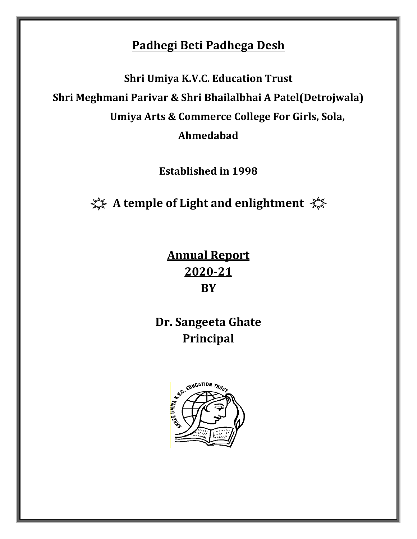## **Padhegi Beti Padhega Desh**

**Shri Umiya K.V.C. Education Trust Shri Meghmani Parivar & Shri Bhailalbhai A Patel(Detrojwala) Umiya Arts & Commerce College For Girls, Sola, Ahmedabad**

**Established in 1998**

**A temple of Light and enlightment** 

**Annual Report 2020-21 BY**

**Dr. Sangeeta Ghate Principal**

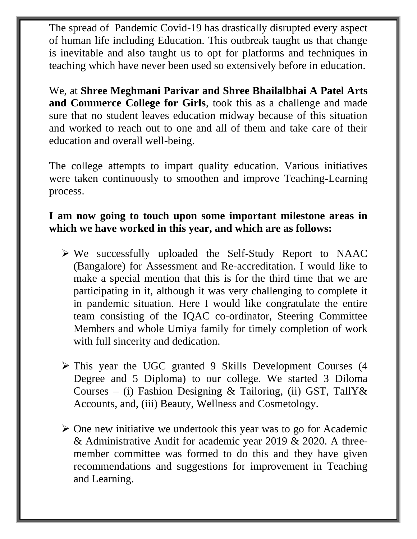The spread of Pandemic Covid-19 has drastically disrupted every aspect of human life including Education. This outbreak taught us that change is inevitable and also taught us to opt for platforms and techniques in teaching which have never been used so extensively before in education.

We, at **Shree Meghmani Parivar and Shree Bhailalbhai A Patel Arts and Commerce College for Girls**, took this as a challenge and made sure that no student leaves education midway because of this situation and worked to reach out to one and all of them and take care of their education and overall well-being.

The college attempts to impart quality education. Various initiatives were taken continuously to smoothen and improve Teaching-Learning process.

### **I am now going to touch upon some important milestone areas in which we have worked in this year, and which are as follows:**

- ➢ We successfully uploaded the Self-Study Report to NAAC (Bangalore) for Assessment and Re-accreditation. I would like to make a special mention that this is for the third time that we are participating in it, although it was very challenging to complete it in pandemic situation. Here I would like congratulate the entire team consisting of the IQAC co-ordinator, Steering Committee Members and whole Umiya family for timely completion of work with full sincerity and dedication.
- ➢ This year the UGC granted 9 Skills Development Courses (4 Degree and 5 Diploma) to our college. We started 3 Diloma Courses – (i) Fashion Designing & Tailoring, (ii) GST, TallY & Accounts, and, (iii) Beauty, Wellness and Cosmetology.
- $\triangleright$  One new initiative we undertook this year was to go for Academic & Administrative Audit for academic year 2019 & 2020. A threemember committee was formed to do this and they have given recommendations and suggestions for improvement in Teaching and Learning.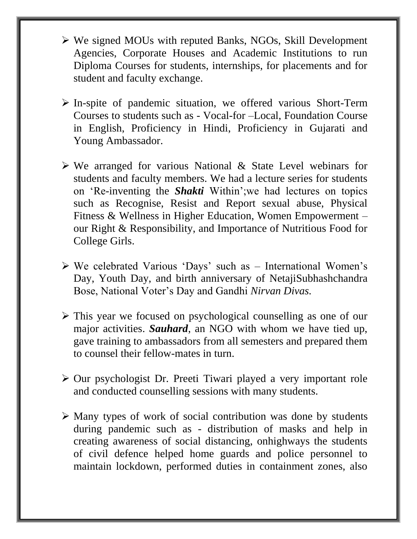- ➢ We signed MOUs with reputed Banks, NGOs, Skill Development Agencies, Corporate Houses and Academic Institutions to run Diploma Courses for students, internships, for placements and for student and faculty exchange.
- ➢ In-spite of pandemic situation, we offered various Short-Term Courses to students such as - Vocal-for –Local, Foundation Course in English, Proficiency in Hindi, Proficiency in Gujarati and Young Ambassador.
- ➢ We arranged for various National & State Level webinars for students and faculty members. We had a lecture series for students on 'Re-inventing the *Shakti* Within';we had lectures on topics such as Recognise, Resist and Report sexual abuse, Physical Fitness & Wellness in Higher Education, Women Empowerment – our Right & Responsibility, and Importance of Nutritious Food for College Girls.
- ➢ We celebrated Various 'Days' such as International Women's Day, Youth Day, and birth anniversary of NetajiSubhashchandra Bose, National Voter's Day and Gandhi *Nirvan Divas.*
- ➢ This year we focused on psychological counselling as one of our major activities. *Sauhard*, an NGO with whom we have tied up, gave training to ambassadors from all semesters and prepared them to counsel their fellow-mates in turn.
- ➢ Our psychologist Dr. Preeti Tiwari played a very important role and conducted counselling sessions with many students.
- ➢ Many types of work of social contribution was done by students during pandemic such as - distribution of masks and help in creating awareness of social distancing, onhighways the students of civil defence helped home guards and police personnel to maintain lockdown, performed duties in containment zones, also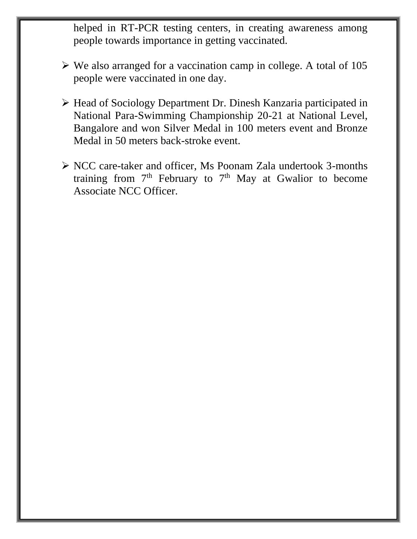helped in RT-PCR testing centers, in creating awareness among people towards importance in getting vaccinated.

- ➢ We also arranged for a vaccination camp in college. A total of 105 people were vaccinated in one day.
- ➢ Head of Sociology Department Dr. Dinesh Kanzaria participated in National Para-Swimming Championship 20-21 at National Level, Bangalore and won Silver Medal in 100 meters event and Bronze Medal in 50 meters back-stroke event.
- ➢ NCC care-taker and officer, Ms Poonam Zala undertook 3-months training from  $7<sup>th</sup>$  February to  $7<sup>th</sup>$  May at Gwalior to become Associate NCC Officer.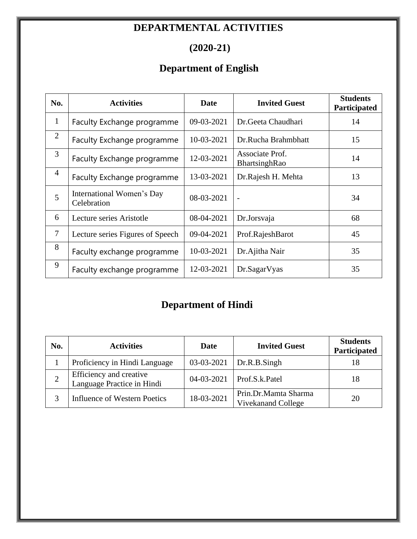## **DEPARTMENTAL ACTIVITIES**

## **(2020-21)**

## **Department of English**

| No.            | <b>Activities</b>                        | Date       | <b>Invited Guest</b>             | <b>Students</b><br>Participated |
|----------------|------------------------------------------|------------|----------------------------------|---------------------------------|
| $\mathbf{1}$   | Faculty Exchange programme               | 09-03-2021 | Dr. Geeta Chaudhari              | 14                              |
| $\overline{2}$ | Faculty Exchange programme               | 10-03-2021 | Dr.Rucha Brahmbhatt              | 15                              |
| 3              | Faculty Exchange programme               | 12-03-2021 | Associate Prof.<br>BhartsinghRao | 14                              |
| 4              | Faculty Exchange programme               | 13-03-2021 | Dr.Rajesh H. Mehta               | 13                              |
| 5              | International Women's Day<br>Celebration | 08-03-2021 |                                  | 34                              |
| 6              | Lecture series Aristotle                 | 08-04-2021 | Dr.Jorsvaja                      | 68                              |
| $\overline{7}$ | Lecture series Figures of Speech         | 09-04-2021 | Prof.RajeshBarot                 |                                 |
| 8              | Faculty exchange programme               | 10-03-2021 | Dr. Ajitha Nair                  | 35                              |
| 9              | Faculty exchange programme               | 12-03-2021 | Dr.SagarVyas                     | 35                              |

# **Department of Hindi**

| No. | <b>Activities</b>                                     | Date       | <b>Invited Guest</b>                              | <b>Students</b><br>Participated |
|-----|-------------------------------------------------------|------------|---------------------------------------------------|---------------------------------|
|     | Proficiency in Hindi Language                         |            | $03-03-2021$ Dr.R.B.Singh                         | 18                              |
|     | Efficiency and creative<br>Language Practice in Hindi | 04-03-2021 | Prof.S.k.Patel                                    | 18                              |
|     | <b>Influence of Western Poetics</b>                   | 18-03-2021 | Prin.Dr.Mamta Sharma<br><b>Vivekanand College</b> | 20                              |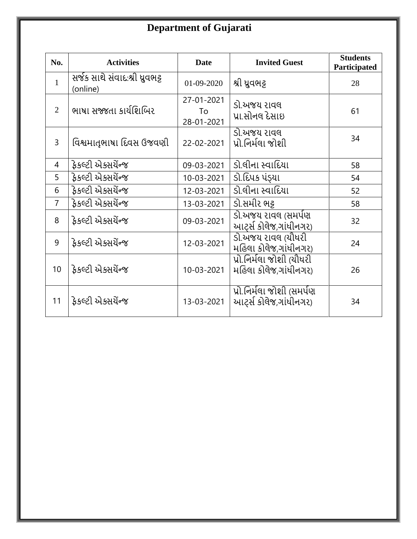# **Department of Gujarati**

| No.            | <b>Activities</b>                           | <b>Date</b>                    | <b>Invited Guest</b>                                | <b>Students</b><br>Participated |
|----------------|---------------------------------------------|--------------------------------|-----------------------------------------------------|---------------------------------|
| $\mathbf{1}$   | સર્જક સાથે સંવાદ:શ્રી ધ્રુવભટ્ટ<br>(online) | 01-09-2020                     | શ્રી ધ્રુવભટ્ટ                                      | 28                              |
| 2              | ભાષા સજ્જતા કાર્યશિબિર                      | 27-01-2021<br>To<br>28-01-2021 | ડો.અજય રાવલ<br>પ્રા.સોનલ દેસાઇ                      | 61                              |
| $\overline{3}$ | વિશ્વમાતૃભાષા દિવસ ઉજવણી                    | 22-02-2021                     | ડો.અજય રાવલ<br>પ્રો.નિર્મલા જોશી                    | 34                              |
| 4              | ફેકલ્ટી એક્સયેંન્જ                          | 09-03-2021                     | ડો.લીના સ્વાદિયા                                    | 58                              |
| 5              | ફેકલ્ટી એક્સર્યેન્જ                         | 10-03-2021                     | ડો.દિપક પંડ્યા                                      | 54                              |
| 6              | ફેકલ્ટી એક્સર્યેન્જ                         | 12-03-2021                     | ડો.લીના સ્વાદિયા                                    | 52                              |
| $\overline{7}$ | ફેકલ્ટી એક્સર્યેન્જ                         | 13-03-2021                     | ડો.સમીર ભક્ર                                        | 58                              |
| 8              | ફેકલ્ટી એક્સર્યેન્જ                         | 09-03-2021                     | ડો.અજય રાવલ (સમર્પણ<br>આરર્સ કોલેજ,ગાંધીનગર)        | 32                              |
| 9              | ફેકલ્ટી એક્સર્યેન્જ                         | 12-03-2021                     | ડો.અજય રાવલ (યોધરી<br>મહિલા કોલેજ,ગાંધીનગર)         | 24                              |
| 10             | ફેકલ્ટી એક્સયેંન્જ                          | 10-03-2021                     | પ્રો.નિર્મલા જોશી (યૌધરી<br>મહિલા કોલેજ,ગાંધીનગર)   | 26                              |
| 11             | ફેકલ્ટી એક્સર્યેન્જ                         | 13-03-2021                     | પ્રો.નિર્મલા જોશી (સમર્પણ<br>આર્ટ્સ કોલેજ,ગાંધીનગર) | 34                              |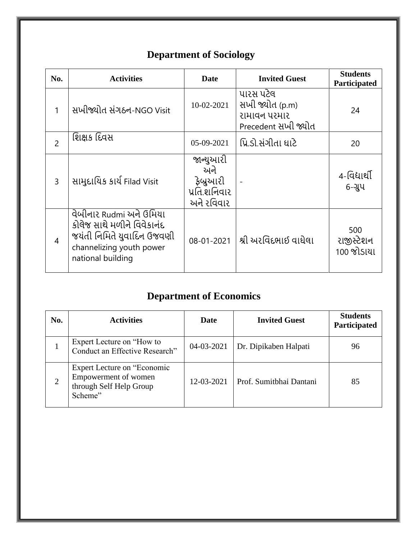| No.            | <b>Activities</b>                                                                                                                    | <b>Date</b>                                                 | <b>Invited Guest</b>                                                | <b>Students</b><br>Participated |
|----------------|--------------------------------------------------------------------------------------------------------------------------------------|-------------------------------------------------------------|---------------------------------------------------------------------|---------------------------------|
| 1              | સખીજ્યોત સંગઠન-NGO Visit                                                                                                             | 10-02-2021                                                  | પારસ પટેલ<br>સખી જ્યોત (p.m)<br>રામાવન પરમાર<br>Precedent સખી જ્યોત | 24                              |
| $\overline{2}$ | શિક્ષક દિવસ                                                                                                                          | 05-09-2021                                                  | પ્રિ.ડો.સંગીતા ધાટે                                                 | 20                              |
| $\overline{3}$ | સામુદાયિક કાર્ય Filad Visit                                                                                                          | જાન્યુઆરી<br>અને<br>ફેબ્રુઆરી<br>પ્રતિ.શનિવાર<br>અને રવિવાર |                                                                     | 4-વિદ્યાર્થી<br>$6 - 214$       |
| $\overline{4}$ | વેબીનાર Rudmi અને ઉમિયા<br>કોલેજ સાથે મળીને વિવેકાનંદ<br>જયંતી નિમિતે યુવાદિન ઉજવણી<br>channelizing youth power<br>national building | 08-01-2021                                                  | શ્રી અરવિંદભાઈ વાઘેલા                                               | 500<br>રાજીસ્ટેશન<br>100 જોડાયા |

# **Department of Sociology**

# **Department of Economics**

| No.            | <b>Activities</b>                                                                         | Date       | <b>Invited Guest</b>    | <b>Students</b><br>Participated |
|----------------|-------------------------------------------------------------------------------------------|------------|-------------------------|---------------------------------|
|                | Expert Lecture on "How to"<br>Conduct an Effective Research"                              | 04-03-2021 | Dr. Dipikaben Halpati   | 96                              |
| $\overline{2}$ | Expert Lecture on "Economic<br>Empowerment of women<br>through Self Help Group<br>Scheme" | 12-03-2021 | Prof. Sumitbhai Dantani | 85                              |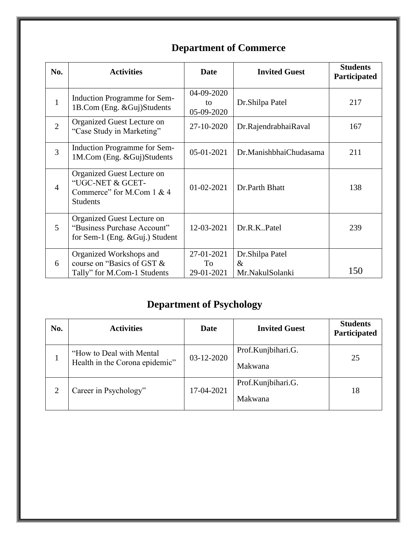# **Department of Commerce**

| No.            | <b>Activities</b>                                                                              | <b>Date</b>                    | <b>Invited Guest</b>    | <b>Students</b><br>Participated |
|----------------|------------------------------------------------------------------------------------------------|--------------------------------|-------------------------|---------------------------------|
| $\mathbf{1}$   | <b>Induction Programme for Sem-</b><br>1B.Com (Eng. & Guj)Students                             | 04-09-2020<br>to<br>05-09-2020 | Dr.Shilpa Patel         | 217                             |
| $\overline{2}$ | Organized Guest Lecture on<br>"Case Study in Marketing"                                        | 27-10-2020                     | Dr.RajendrabhaiRaval    | 167                             |
| $\overline{3}$ | <b>Induction Programme for Sem-</b><br>1M.Com (Eng. & Guj)Students                             | 05-01-2021                     | Dr.ManishbhaiChudasama  |                                 |
| $\overline{4}$ | Organized Guest Lecture on<br>"UGC-NET & GCET-<br>Commerce" for M.Com 1 & 4<br><b>Students</b> | 01-02-2021                     | Dr.Parth Bhatt          | 138                             |
| 5              | Organized Guest Lecture on<br>"Business Purchase Account"<br>for Sem-1 (Eng. & Guj.) Student   | 12-03-2021                     | Dr.R.KPatel             | 239                             |
| 6              | Organized Workshops and<br>course on "Basics of GST &                                          | 27-01-2021<br>To               | Dr.Shilpa Patel<br>$\&$ |                                 |
|                | Tally" for M.Com-1 Students                                                                    | 29-01-2021                     | Mr.NakulSolanki         | 150                             |

## **Department of Psychology**

| No.            | <b>Activities</b>                                          | Date       | <b>Invited Guest</b>          | <b>Students</b><br>Participated |
|----------------|------------------------------------------------------------|------------|-------------------------------|---------------------------------|
|                | "How to Deal with Mental<br>Health in the Corona epidemic" | 03-12-2020 | Prof.Kunjbihari.G.<br>Makwana | 25                              |
| $\overline{2}$ | Career in Psychology"                                      | 17-04-2021 | Prof.Kunjbihari.G.<br>Makwana | 18                              |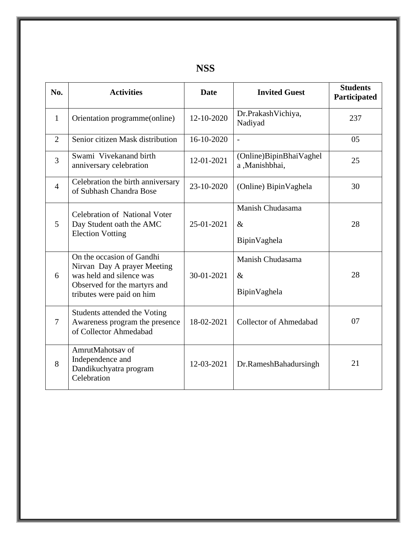| No.            | <b>Activities</b>                                                                                                                                 | <b>Date</b>                                            | <b>Invited Guest</b>                      | <b>Students</b><br>Participated |
|----------------|---------------------------------------------------------------------------------------------------------------------------------------------------|--------------------------------------------------------|-------------------------------------------|---------------------------------|
| $\mathbf{1}$   | Orientation programme(online)                                                                                                                     | 12-10-2020                                             | Dr.PrakashVichiya,<br>Nadiyad             | 237                             |
| $\overline{2}$ | Senior citizen Mask distribution                                                                                                                  | 16-10-2020                                             | $\overline{\phantom{a}}$                  | 05                              |
| $\overline{3}$ | Swami Vivekanand birth<br>anniversary celebration                                                                                                 | 12-01-2021                                             | (Online)BipinBhaiVaghel<br>a, Manishbhai, | 25                              |
| $\overline{4}$ | Celebration the birth anniversary<br>of Subhash Chandra Bose                                                                                      | 23-10-2020                                             | (Online) BipinVaghela                     | 30                              |
| 5              | <b>Celebration of National Voter</b><br>Day Student oath the AMC<br><b>Election Votting</b>                                                       | Manish Chudasama<br>25-01-2021<br>$\&$<br>BipinVaghela |                                           | 28                              |
| 6              | On the occasion of Gandhi<br>Nirvan Day A prayer Meeting<br>was held and silence was<br>Observed for the martyrs and<br>tributes were paid on him | 30-01-2021                                             | Manish Chudasama<br>$\&$<br>BipinVaghela  | 28                              |
| 7              | Students attended the Voting<br>Awareness program the presence<br>of Collector Ahmedabad                                                          | 18-02-2021                                             | <b>Collector of Ahmedabad</b>             | 07                              |
| 8              | AmrutMahotsay of<br>Independence and<br>Dandikuchyatra program<br>Celebration                                                                     | 12-03-2021                                             | Dr.RameshBahadursingh                     | 21                              |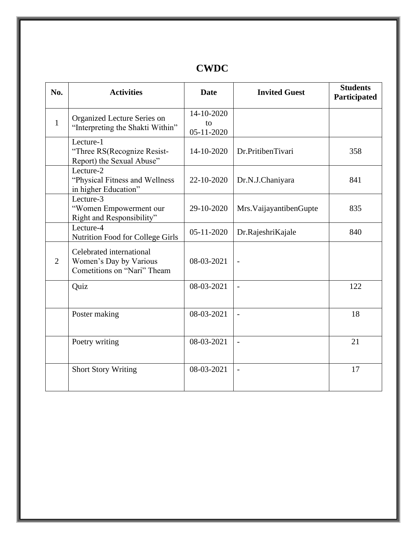### **CWDC**

| No.            | <b>Activities</b>                                                                 | <b>Date</b>                          | <b>Invited Guest</b>     | <b>Students</b><br>Participated |
|----------------|-----------------------------------------------------------------------------------|--------------------------------------|--------------------------|---------------------------------|
| $\mathbf{1}$   | Organized Lecture Series on<br>"Interpreting the Shakti Within"                   | 14-10-2020<br>to<br>$05 - 11 - 2020$ |                          |                                 |
|                | Lecture-1<br>"Three RS(Recognize Resist-<br>Report) the Sexual Abuse"             | 14-10-2020                           | Dr.PritibenTivari        | 358                             |
|                | Lecture-2<br>"Physical Fitness and Wellness<br>in higher Education"               | 22-10-2020                           | Dr.N.J.Chaniyara         | 841                             |
|                | Lecture-3<br>"Women Empowerment our<br>Right and Responsibility"                  | 29-10-2020                           | Mrs. VaijayantibenGupte  | 835                             |
|                | Lecture-4<br>Nutrition Food for College Girls                                     | 05-11-2020                           | Dr.RajeshriKajale        | 840                             |
| $\overline{2}$ | Celebrated international<br>Women's Day by Various<br>Cometitions on "Nari" Theam | 08-03-2021                           | $\overline{\phantom{a}}$ |                                 |
|                | Quiz                                                                              | 08-03-2021                           | $\overline{a}$           | 122                             |
|                | Poster making                                                                     | 08-03-2021                           | $\overline{\phantom{a}}$ | 18                              |
|                | Poetry writing                                                                    | 08-03-2021                           |                          | 21                              |
|                | <b>Short Story Writing</b>                                                        | 08-03-2021                           | $\overline{a}$           | 17                              |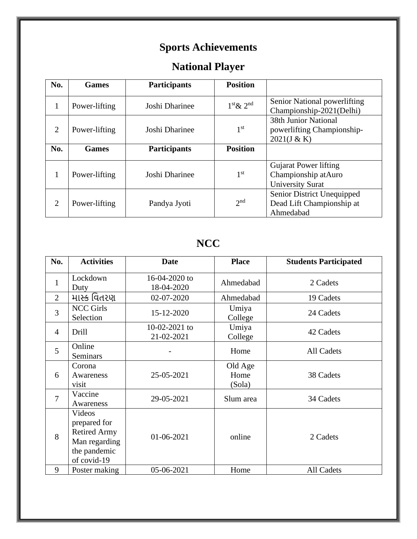# **Sports Achievements**

# **National Player**

| No.            | <b>Games</b>  | <b>Participants</b> | <b>Position</b> |                                                                                |
|----------------|---------------|---------------------|-----------------|--------------------------------------------------------------------------------|
| 1              | Power-lifting | Joshi Dharinee      | $1st \& 2nd$    | Senior National powerlifting<br>Championship-2021(Delhi)                       |
| $\overline{2}$ | Power-lifting | Joshi Dharinee      | 1 <sup>st</sup> | <b>38th Junior National</b><br>powerlifting Championship-<br>2021(J & K)       |
| No.            | <b>Games</b>  | <b>Participants</b> | <b>Position</b> |                                                                                |
| 1              | Power-lifting | Joshi Dharinee      | 1 <sup>st</sup> | <b>Gujarat Power lifting</b><br>Championship atAuro<br><b>University Surat</b> |
| $\overline{2}$ | Power-lifting | Pandya Jyoti        | 2 <sub>nd</sub> | Senior District Unequipped<br>Dead Lift Championship at<br>Ahmedabad           |

## **NCC**

| No.            | <b>Activities</b>                                                                             | <b>Date</b>                 | <b>Place</b>              | <b>Students Participated</b> |
|----------------|-----------------------------------------------------------------------------------------------|-----------------------------|---------------------------|------------------------------|
| $\mathbf{1}$   | Lockdown<br>Duty                                                                              | 16-04-2020 to<br>18-04-2020 | Ahmedabad                 | 2 Cadets                     |
| 2              | માસ્ક વિતરણ                                                                                   | 02-07-2020                  | Ahmedabad                 | 19 Cadets                    |
| 3              | <b>NCC Girls</b><br>Selection                                                                 | 15-12-2020                  | Umiya<br>College          | 24 Cadets                    |
| $\overline{4}$ | Drill                                                                                         | 10-02-2021 to<br>21-02-2021 | Umiya<br>College          | 42 Cadets                    |
| 5              | Online<br><b>Seminars</b>                                                                     |                             | Home                      | All Cadets                   |
| 6              | Corona<br>Awareness<br>visit                                                                  | 25-05-2021                  | Old Age<br>Home<br>(Sola) | 38 Cadets                    |
| $\overline{7}$ | Vaccine<br>Awareness                                                                          | 29-05-2021                  | Slum area                 | 34 Cadets                    |
| 8              | Videos<br>prepared for<br><b>Retired Army</b><br>Man regarding<br>the pandemic<br>of covid-19 | 01-06-2021                  | online                    | 2 Cadets                     |
| 9              | Poster making                                                                                 | 05-06-2021                  | Home                      | All Cadets                   |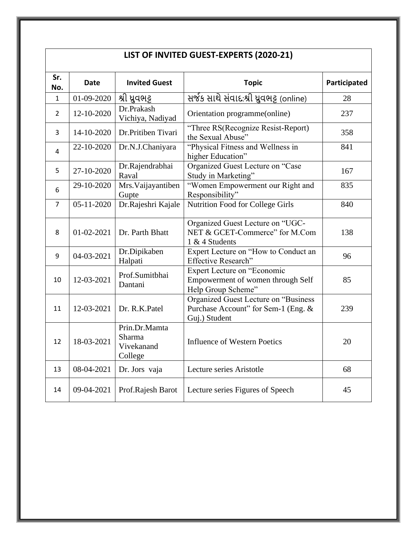| LIST OF INVITED GUEST-EXPERTS (2020-21) |            |                                                         |                                                                                              |              |  |  |
|-----------------------------------------|------------|---------------------------------------------------------|----------------------------------------------------------------------------------------------|--------------|--|--|
| Sr.<br>No.                              | Date       | <b>Invited Guest</b>                                    | <b>Topic</b>                                                                                 | Participated |  |  |
| $\mathbf{1}$                            | 01-09-2020 | શ્રી ધ્રુવભટ્ટ                                          | સર્જક સાથે સંવાદ:શ્રી ધ્રુવભટ્ટ (online)                                                     | 28           |  |  |
| $\overline{2}$                          | 12-10-2020 | Dr.Prakash<br>Vichiya, Nadiyad                          | Orientation programme(online)                                                                | 237          |  |  |
| 3                                       | 14-10-2020 | Dr.Pritiben Tivari                                      | "Three RS(Recognize Resist-Report)<br>the Sexual Abuse"                                      | 358          |  |  |
| 4                                       | 22-10-2020 | Dr.N.J.Chaniyara                                        | "Physical Fitness and Wellness in<br>higher Education"                                       | 841          |  |  |
| 5                                       | 27-10-2020 | Dr.Rajendrabhai<br>Raval                                | Organized Guest Lecture on "Case<br>Study in Marketing"                                      | 167          |  |  |
| 6                                       | 29-10-2020 | Mrs. Vaijayantiben<br>Gupte                             | "Women Empowerment our Right and<br>Responsibility"                                          | 835          |  |  |
| 7                                       | 05-11-2020 | Dr.Rajeshri Kajale                                      | <b>Nutrition Food for College Girls</b>                                                      | 840          |  |  |
| 8                                       | 01-02-2021 | Dr. Parth Bhatt                                         | Organized Guest Lecture on "UGC-<br>NET & GCET-Commerce" for M.Com<br>1 & 4 Students         | 138          |  |  |
| 9                                       | 04-03-2021 | Dr.Dipikaben<br>Halpati                                 | Expert Lecture on "How to Conduct an<br>Effective Research"                                  | 96           |  |  |
| 10                                      | 12-03-2021 | Prof.Sumitbhai<br>Dantani                               | Expert Lecture on "Economic<br>Empowerment of women through Self<br>Help Group Scheme"       | 85           |  |  |
| 11                                      | 12-03-2021 | Dr. R.K.Patel                                           | Organized Guest Lecture on "Business<br>Purchase Account" for Sem-1 (Eng. &<br>Guj.) Student | 239          |  |  |
| 12                                      | 18-03-2021 | Prin.Dr.Mamta<br><b>Sharma</b><br>Vivekanand<br>College | <b>Influence of Western Poetics</b>                                                          | 20           |  |  |
| 13                                      | 08-04-2021 | Dr. Jors vaja                                           | Lecture series Aristotle                                                                     | 68           |  |  |
| 14                                      | 09-04-2021 | Prof.Rajesh Barot                                       | Lecture series Figures of Speech                                                             | 45           |  |  |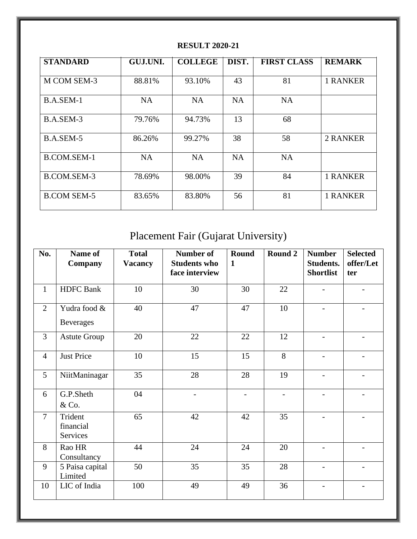| <b>STANDARD</b>    | GUJ.UNI.  | <b>COLLEGE</b> | DIST.     | <b>FIRST CLASS</b> | <b>REMARK</b>   |
|--------------------|-----------|----------------|-----------|--------------------|-----------------|
| M COM SEM-3        | 88.81%    | 93.10%         | 43        | 81                 | <b>1 RANKER</b> |
| B.A.SEM-1          | <b>NA</b> | <b>NA</b>      | <b>NA</b> | <b>NA</b>          |                 |
| B.A.SEM-3          | 79.76%    | 94.73%         | 13        | 68                 |                 |
| B.A.SEM-5          | 86.26%    | 99.27%         | 38        | 58                 | 2 RANKER        |
| B.COM.SEM-1        | <b>NA</b> | <b>NA</b>      | <b>NA</b> | <b>NA</b>          |                 |
| B.COM.SEM-3        | 78.69%    | 98.00%         | 39        | 84                 | <b>1 RANKER</b> |
| <b>B.COM SEM-5</b> | 83.65%    | 83.80%         | 56        | 81                 | <b>1 RANKER</b> |

### **RESULT 2020-21**

# Placement Fair (Gujarat University)

| No.             | Name of<br>Company               | <b>Total</b><br><b>Vacancy</b> | <b>Number of</b><br><b>Students who</b><br>face interview | <b>Round</b><br>$\mathbf{1}$ | Round 2        | <b>Number</b><br><b>Students.</b><br><b>Shortlist</b> | <b>Selected</b><br>offer/Let<br>ter |
|-----------------|----------------------------------|--------------------------------|-----------------------------------------------------------|------------------------------|----------------|-------------------------------------------------------|-------------------------------------|
| $\mathbf{1}$    | <b>HDFC</b> Bank                 | 10                             | 30                                                        | 30                           | 22             |                                                       |                                     |
| 2               | Yudra food &<br><b>Beverages</b> | 40                             | 47                                                        | 47                           | 10             |                                                       |                                     |
| $\overline{3}$  | <b>Astute Group</b>              | 20                             | 22                                                        | 22                           | 12             |                                                       |                                     |
| $\overline{4}$  | <b>Just Price</b>                | 10                             | 15                                                        | 15                           | 8              |                                                       |                                     |
| $5\overline{)}$ | NiitManinagar                    | 35                             | 28                                                        | 28                           | 19             |                                                       | $\overline{\phantom{0}}$            |
| 6               | G.P.Sheth<br>& Co.               | 04                             | $\overline{\phantom{a}}$                                  | $\overline{a}$               | $\overline{a}$ |                                                       | $\overline{\phantom{0}}$            |
| $\overline{7}$  | Trident<br>financial<br>Services | 65                             | 42                                                        | 42                           | 35             |                                                       |                                     |
| 8               | Rao HR<br>Consultancy            | 44                             | 24                                                        | 24                           | 20             |                                                       |                                     |
| 9               | 5 Paisa capital<br>Limited       | 50                             | 35                                                        | 35                           | 28             |                                                       |                                     |
| 10              | LIC of India                     | 100                            | 49                                                        | 49                           | 36             |                                                       |                                     |